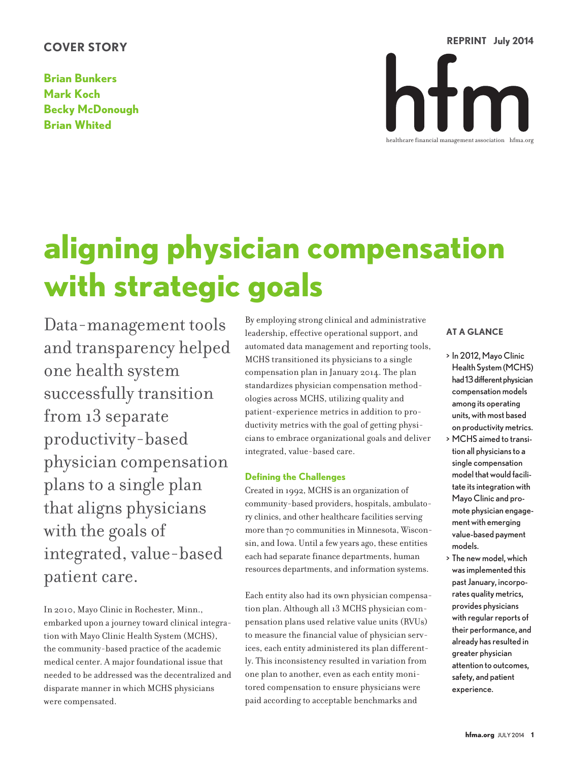# **COVER STORY**

**Brian Bunkers Mark Koch Becky McDonough Brian Whited**



# **aligning physician compensation with strategic goals**

Data-management tools and transparency helped one health system successfully transition from 13 separate productivity-based physician compensation plansto a single plan that aligns physicians with the goals of integrated, value-based patient care.

In 2010, Mayo Clinic in Rochester, Minn., embarked upon a journey toward clinical integration with Mayo Clinic Health System (MCHS), the community-based practice of the academic medical center. A major foundational issue that needed to be addressed was the decentralized and disparate manner in which MCHS physicians were compensated.

By employing strong clinical and administrative leadership, effective operational support, and automated data management and reporting tools, MCHS transitioned its physicians to a single compensation plan in January 2014. The plan standardizes physician compensation methodologies across MCHS, utilizing quality and patient-experience metrics in addition to productivity metrics with the goal of getting physicians to embrace organizational goals and deliver integrated, value-based care.

# **Defining the Challenges**

Created in 1992, MCHS is an organization of community-based providers, hospitals, ambulatory clinics, and other healthcare facilities serving more than 70 communities in Minnesota, Wisconsin, and Iowa. Until a few years ago, these entities each had separate finance departments, human resources departments, and information systems.

Each entity also had its own physician compensation plan. Although all 13 MCHS physician compensation plans used relative value units (RVUs) to measure the financial value of physician services, each entity administered its plan differently. This inconsistency resulted in variation from one plan to another, even as each entity monitored compensation to ensure physicians were paid according to acceptable benchmarks and

# **AT A GLANCE**

- > In 2012, Mayo Clinic Health System (MCHS) had 13 different physician compensation models among its operating units, with most based on productivity metrics.
- > MCHS aimed to transition all physicians to a single compensation model that would facilitate its integration with Mayo Clinic and promote physician engagementwith emerging value-based payment models.
- > The new model,which wasimplemented this pastJanuary, incorporates quality metrics, provides physicians with regular reports of their performance, and already has resulted in greater physician attention to outcomes, safety, and patient experience.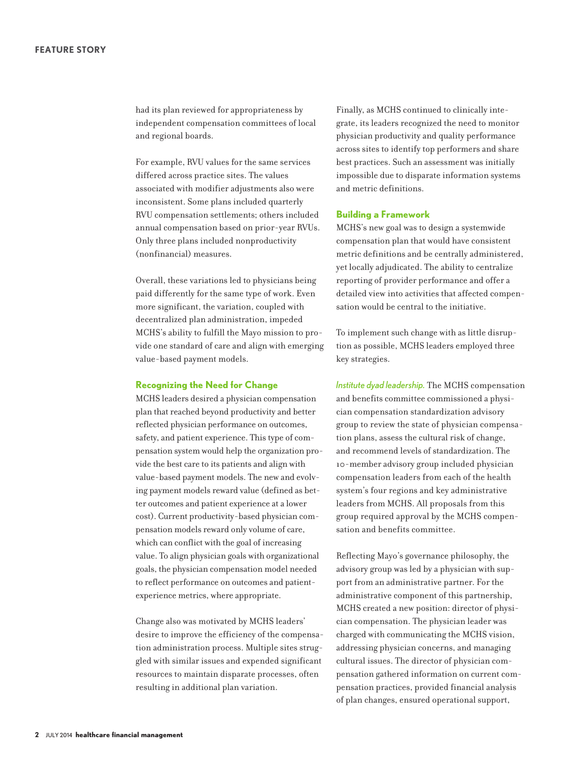had its plan reviewed for appropriateness by independent compensation committees of local and regional boards.

For example, RVU values for the same services differed across practice sites. The values associated with modifier adjustments also were inconsistent. Some plans included quarterly RVU compensation settlements; others included annual compensation based on prior-year RVUs. Only three plans included nonproductivity (nonfinancial) measures.

Overall, these variations led to physicians being paid differently for the same type of work. Even more significant, the variation, coupled with decentralized plan administration, impeded MCHS's ability to fulfill the Mayo mission to provide one standard of care and align with emerging value-based payment models.

#### **Recognizing the Need for Change**

MCHS leaders desired a physician compensation plan that reached beyond productivity and better reflected physician performance on outcomes, safety, and patient experience. This type of compensation system would help the organization provide the best care to its patients and align with value-based payment models. The new and evolving payment models reward value (defined as better outcomes and patient experience at a lower cost). Current productivity-based physician compensation models reward only volume of care, which can conflict with the goal of increasing value. To align physician goals with organizational goals, the physician compensation model needed to reflect performance on outcomes and patientexperience metrics, where appropriate.

Change also was motivated by MCHS leaders' desire to improve the efficiency of the compensation administration process. Multiple sites struggled with similar issues and expended significant resources to maintain disparate processes, often resulting in additional plan variation.

Finally, as MCHS continued to clinically integrate, its leaders recognized the need to monitor physician productivity and quality performance across sites to identify top performers and share best practices. Such an assessment was initially impossible due to disparate information systems and metric definitions.

#### **Building a Framework**

MCHS's new goal was to design a systemwide compensation plan that would have consistent metric definitions and be centrally administered, yet locally adjudicated. The ability to centralize reporting of provider performance and offer a detailed view into activities that affected compensation would be central to the initiative.

To implement such change with as little disruption as possible, MCHS leaders employed three key strategies.

*Institute dyad leadership.* The MCHS compensation and benefits committee commissioned a physician compensation standardization advisory group to review the state of physician compensation plans, assess the cultural risk of change, and recommend levels of standardization. The 10-member advisory group included physician compensation leaders from each of the health system's four regions and key administrative leaders from MCHS. All proposals from this group required approval by the MCHS compensation and benefits committee.

Reflecting Mayo's governance philosophy, the advisory group was led by a physician with support from an administrative partner. For the administrative component of this partnership, MCHS created a new position: director of physician compensation. The physician leader was charged with communicating the MCHS vision, addressing physician concerns, and managing cultural issues. The director of physician compensation gathered information on current compensation practices, provided financial analysis of plan changes, ensured operational support,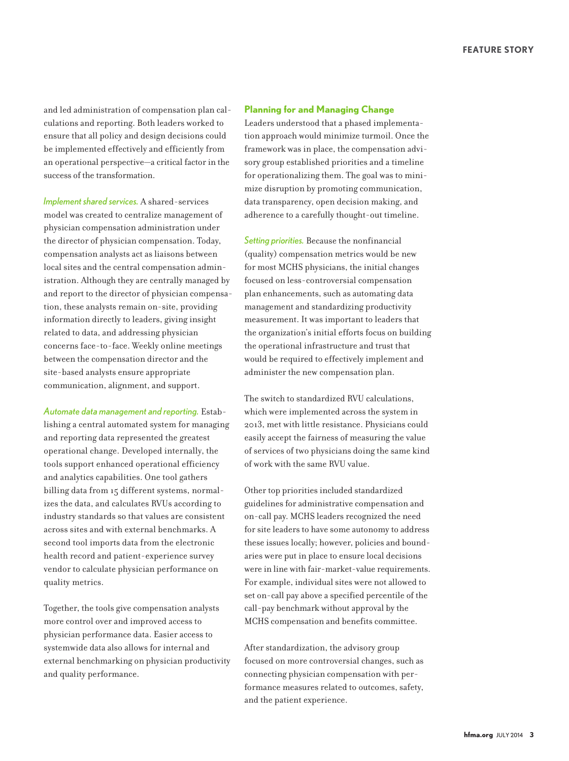and led administration of compensation plan calculations and reporting. Both leaders worked to ensure that all policy and design decisions could be implemented effectively and efficiently from an operational perspective—a critical factor in the success of the transformation.

*Implementshared services.* A shared-services model was created to centralize management of physician compensation administration under the director of physician compensation. Today, compensation analysts act as liaisons between local sites and the central compensation administration. Although they are centrally managed by and report to the director of physician compensation, these analysts remain on-site, providing information directly to leaders, giving insight related to data, and addressing physician concerns face-to-face. Weekly online meetings between the compensation director and the site-based analysts ensure appropriate communication, alignment, and support.

*Automate datamanagement and reporting.* Establishing a central automated system for managing and reporting data represented the greatest operational change. Developed internally, the tools support enhanced operational efficiency and analytics capabilities. One tool gathers billing data from 15 different systems, normalizes the data, and calculates RVUs according to industry standards so that values are consistent across sites and with external benchmarks. A second tool imports data from the electronic health record and patient-experience survey vendor to calculate physician performance on quality metrics.

Together, the tools give compensation analysts more control over and improved access to physician performance data. Easier access to systemwide data also allows for internal and external benchmarking on physician productivity and quality performance.

# **Planning for and Managing Change**

Leaders understood that a phased implementation approach would minimize turmoil. Once the framework was in place, the compensation advisory group established priorities and a timeline for operationalizing them. The goal was to minimize disruption by promoting communication, data transparency, open decision making, and adherence to a carefully thought-out timeline.

*Setting priorities.* Because the nonfinancial (quality) compensation metrics would be new for most MCHS physicians, the initial changes focused on less-controversial compensation plan enhancements, such as automating data management and standardizing productivity measurement. It was important to leaders that the organization's initial efforts focus on building the operational infrastructure and trust that would be required to effectively implement and administer the new compensation plan.

The switch to standardized RVU calculations, which were implemented across the system in 2013, met with little resistance. Physicians could easily accept the fairness of measuring the value of services of two physicians doing the same kind of work with the same RVU value.

Other top priorities included standardized guidelines for administrative compensation and on-call pay. MCHS leaders recognized the need for site leaders to have some autonomy to address these issues locally; however, policies and boundaries were put in place to ensure local decisions were in line with fair-market-value requirements. For example, individual sites were not allowed to set on-call pay above a specified percentile of the call-pay benchmark without approval by the MCHS compensation and benefits committee.

After standardization, the advisory group focused on more controversial changes, such as connecting physician compensation with performance measures related to outcomes, safety, and the patient experience.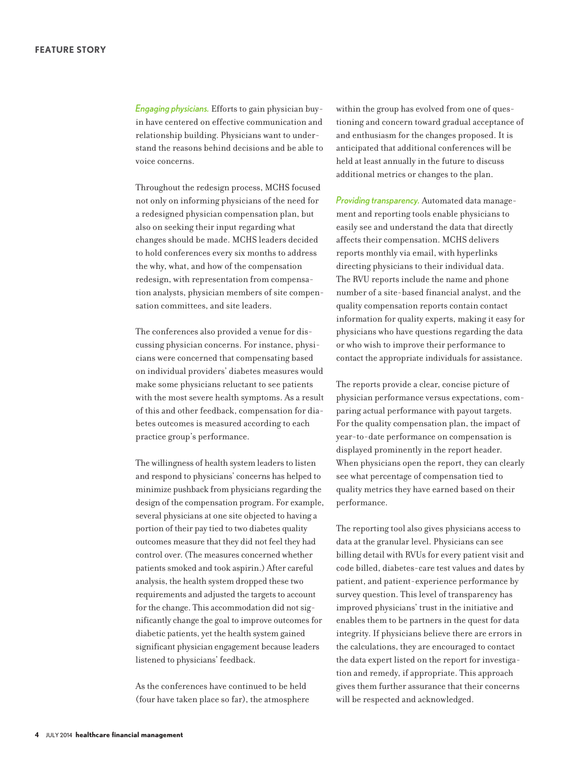*Engaging physicians.* Efforts to gain physician buyin have centered on effective communication and relationship building. Physicians want to understand the reasons behind decisions and be able to voice concerns.

Throughout the redesign process, MCHS focused not only on informing physicians of the need for a redesigned physician compensation plan, but also on seeking their input regarding what changes should be made. MCHS leaders decided to hold conferences every six months to address the why, what, and how of the compensation redesign, with representation from compensation analysts, physician members of site compensation committees, and site leaders.

The conferences also provided a venue for discussing physician concerns. For instance, physicians were concerned that compensating based on individual providers' diabetes measures would make some physicians reluctant to see patients with the most severe health symptoms. As a result of this and other feedback, compensation for diabetes outcomes is measured according to each practice group's performance.

The willingness of health system leaders to listen and respond to physicians' concerns has helped to minimize pushback from physicians regarding the design of the compensation program. For example, several physicians at one site objected to having a portion of their pay tied to two diabetes quality outcomes measure that they did not feel they had control over. (The measures concerned whether patients smoked and took aspirin.) After careful analysis, the health system dropped these two requirements and adjusted the targets to account for the change. This accommodation did not significantly change the goal to improve outcomesfor diabetic patients, yet the health system gained significant physician engagement because leaders listened to physicians' feedback.

As the conferences have continued to be held (four have taken place so far), the atmosphere within the group has evolved from one of questioning and concern toward gradual acceptance of and enthusiasm for the changes proposed. It is anticipated that additional conferences will be held at least annually in the future to discuss additional metrics or changes to the plan.

*Providing transparency.* Automated data management and reporting tools enable physicians to easily see and understand the data that directly affects their compensation. MCHS delivers reports monthly via email, with hyperlinks directing physicians to their individual data. The RVU reports include the name and phone number of a site-based financial analyst, and the quality compensation reports contain contact information for quality experts, making it easy for physicians who have questions regarding the data or who wish to improve their performance to contact the appropriate individuals for assistance.

The reports provide a clear, concise picture of physician performance versus expectations, comparing actual performance with payout targets. For the quality compensation plan, the impact of year-to-date performance on compensation is displayed prominently in the report header. When physicians open the report, they can clearly see what percentage of compensation tied to quality metrics they have earned based on their performance.

The reporting tool also gives physicians access to data at the granular level. Physicians can see billing detail with RVUs for every patient visit and code billed, diabetes-care test values and dates by patient, and patient-experience performance by survey question. This level of transparency has improved physicians' trust in the initiative and enables them to be partners in the quest for data integrity. If physicians believe there are errors in the calculations, they are encouraged to contact the data expert listed on the report for investigation and remedy, if appropriate. This approach gives them further assurance that their concerns will be respected and acknowledged.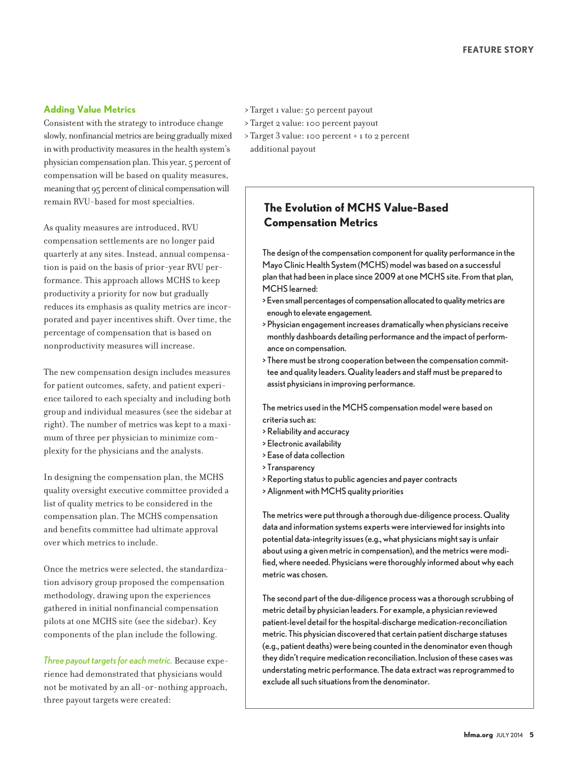# **Adding Value Metrics**

Consistent with the strategy to introduce change slowly, nonfinancial metrics are being gradually mixed in with productivity measures in the health system's physician compensation plan. This year, 5 percent of compensation will be based on quality measures, meaning that 95 percent of clinical compensation will remain RVU-based for most specialties.

As quality measures are introduced, RVU compensation settlements are no longer paid quarterly at any sites. Instead, annual compensation is paid on the basis of prior-year RVU performance. This approach allows MCHS to keep productivity a priority for now but gradually reduces its emphasis as quality metrics are incorporated and payer incentives shift. Over time, the percentage of compensation that is based on nonproductivity measures will increase.

The new compensation design includes measures for patient outcomes, safety, and patient experience tailored to each specialty and including both group and individual measures (see the sidebar at right). The number of metrics was kept to a maximum of three per physician to minimize complexity for the physicians and the analysts.

In designing the compensation plan, the MCHS quality oversight executive committee provided a list of quality metrics to be considered in the compensation plan. The MCHS compensation and benefits committee had ultimate approval over which metrics to include.

Once the metrics were selected, the standardization advisory group proposed the compensation methodology, drawing upon the experiences gathered in initial nonfinancial compensation pilots at one MCHS site (see the sidebar). Key components of the plan include the following.

*Three payout targetsfor eachmetric.* Because experience had demonstrated that physicians would not be motivated by an all-or-nothing approach, three payout targets were created:

- > Target 1 value: 50 percent payout
- > Target 2 value: 100 percent payout
- > Target 3 value: 100 percent + 1 to 2 percent additional payout

# **The Evolution of MCHS Value-Based Compensation Metrics**

The design of the compensation component for quality performance in the Mayo Clinic Health System (MCHS) model was based on a successful plan that had been in place since 2009 at one MCHS site. From that plan, MCHS learned:

- >Even small percentages of compensation allocated to qualitymetrics are enough to elevate engagement.
- > Physician engagement increases dramatically when physicians receive monthly dashboards detailing performance and the impact of performance on compensation.
- > There must be strong cooperation between the compensation committee and quality leaders. Quality leaders and staff must be prepared to assist physicians in improving performance.

The metrics used in the MCHS compensation model were based on criteria such as:

- > Reliability and accuracy
- > Electronic availability
- > Ease of data collection
- > Transparency
- > Reporting status to public agencies and payer contracts
- > Alignment with MCHS quality priorities

The metricswere put through a thorough due-diligence process. Quality data and information systems experts were interviewed for insights into potential data-integrity issues (e.g., what physicians might say is unfair about using a given metric in compensation), and the metrics were modified, where needed. Physicians were thoroughly informed about why each metricwas chosen.

The second part of the due-diligence processwas a thorough scrubbing of metric detail by physician leaders. For example, a physician reviewed patient-level detail for the hospital-discharge medication-reconciliation metric. This physician discovered that certain patient discharge statuses (e.g., patient deaths) were being counted in the denominator even though they didn't require medication reconciliation. Inclusion of these cases was understating metric performance. The data extract was reprogrammed to exclude all such situations from the denominator.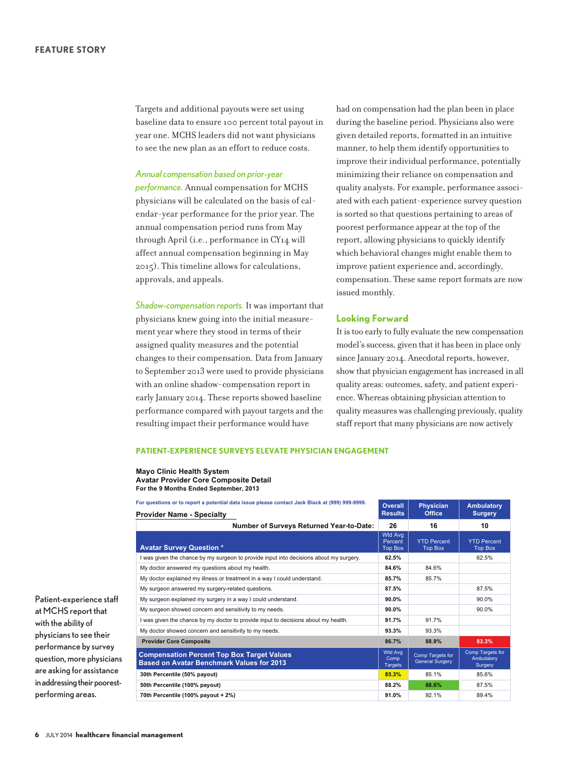Targets and additional payouts were set using baseline data to ensure 100 percent total payout in year one. MCHS leaders did not want physicians to see the new plan as an effort to reduce costs.

#### *Annual compensation based on prior-year*

*performance.* Annual compensation for MCHS physicians will be calculated on the basis of calendar-year performance for the prior year. The annual compensation period runs from May through April (i.e., performance in CY14 will affect annual compensation beginning in May 2015). This timeline allows for calculations, approvals, and appeals.

*Shadow-compensation reports.* It wasimportant that physicians knew going into the initial measurement year where they stood in terms of their assigned quality measures and the potential changesto their compensation. Data from January to September 2013 were used to provide physicians with an online shadow-compensation report in early January 2014. These reports showed baseline performance compared with payout targets and the resulting impact their performance would have

had on compensation had the plan been in place during the baseline period. Physicians also were given detailed reports, formatted in an intuitive manner, to help them identify opportunitiesto improve their individual performance, potentially minimizing their reliance on compensation and quality analysts. For example, performance associated with each patient-experience survey question issorted so that questions pertaining to areas of poorest performance appear at the top of the report, allowing physicians to quickly identify which behavioral changes might enable them to improve patient experience and, accordingly, compensation. These same report formats are now issued monthly.

## **Looking Forward**

It istoo early to fully evaluate the new compensation model's success, given that it has been in place only since January 2014. Anecdotal reports, however, show that physician engagement hasincreased in all quality areas: outcomes, safety, and patient experience. Whereas obtaining physician attention to quality measures was challenging previously, quality staff report that many physicians are now actively

#### **PATIENT-EXPERIENCE SURVEYS ELEVATE PHYSICIAN ENGAGEMENT**

**Mayo Clinic Health System Avatar Provider Core Composite Detail For the 9 Months Ended September, 2013**

| For questions or to report a potential data issue please contact Jack Black at (999) 999-9999.        | <b>Overall</b>                              | <b>Physician</b>                           | <b>Ambulatory</b>                         |
|-------------------------------------------------------------------------------------------------------|---------------------------------------------|--------------------------------------------|-------------------------------------------|
| <b>Provider Name - Specialty</b>                                                                      | <b>Results</b>                              | <b>Office</b>                              | <b>Surgery</b>                            |
| <b>Number of Surveys Returned Year-to-Date:</b>                                                       | 26                                          | 16                                         | 10                                        |
| <b>Avatar Survey Question *</b>                                                                       | <b>Wtd Avg</b><br>Percent<br><b>Top Box</b> | <b>YTD Percent</b><br><b>Top Box</b>       | <b>YTD Percent</b><br><b>Top Box</b>      |
| I was given the chance by my surgeon to provide input into decisions about my surgery.                | 62.5%                                       |                                            | 62.5%                                     |
| My doctor answered my questions about my health.                                                      | 84.6%                                       | 84.6%                                      |                                           |
| My doctor explained my illness or treatment in a way I could understand.                              | 85.7%                                       | 85.7%                                      |                                           |
| My surgeon answered my surgery-related questions.                                                     | 87.5%                                       |                                            | 87.5%                                     |
| My surgeon explained my surgery in a way I could understand.                                          | 90.0%                                       |                                            | 90.0%                                     |
| My surgeon showed concern and sensitivity to my needs.                                                | 90.0%                                       |                                            | 90.0%                                     |
| I was given the chance by my doctor to provide input to decisions about my health.                    | 91.7%                                       | 91.7%                                      |                                           |
| My doctor showed concern and sensitivity to my needs.                                                 | 93.3%                                       | 93.3%                                      |                                           |
| <b>Provider Core Composite</b>                                                                        | 86.7%                                       | 88.9%                                      | 83.3%                                     |
| <b>Compensation Percent Top Box Target Values</b><br><b>Based on Avatar Benchmark Values for 2013</b> | Wtd Avg<br>Comp<br><b>Targets</b>           | Comp Targets for<br><b>General Surgery</b> | Comp Targets for<br>Ambulatory<br>Surgery |
| 30th Percentile (50% payout)                                                                          | 85.3%                                       | 85.1%                                      | 85.6%                                     |
| 50th Percentile (100% payout)                                                                         | 88.2%                                       | 88.6%                                      | 87.5%                                     |
| 70th Percentile (100% payout + 2%)                                                                    | 91.0%                                       | 92.1%                                      | 89.4%                                     |

Patient-experience staff at MCHS report that with the ability of physicians to see their performance by survey question, more physicians are asking for assistance in addressing their poorestperforming areas.